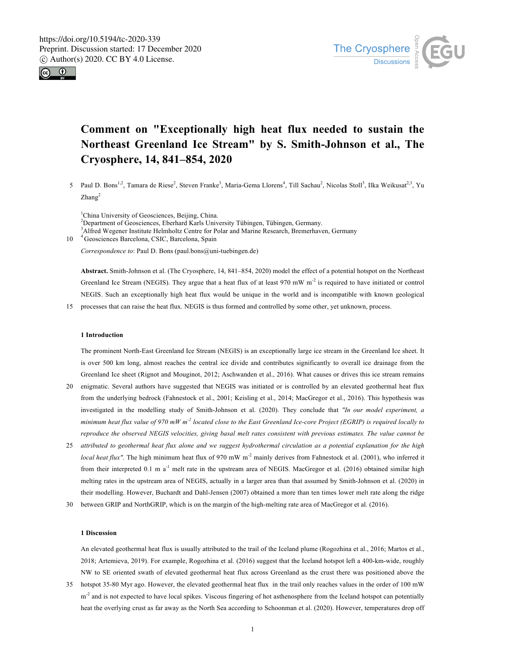



# **Comment on "Exceptionally high heat flux needed to sustain the Northeast Greenland Ice Stream" by S. Smith-Johnson et al., The Cryosphere, 14, 841–854, 2020**

5 Paul D. Bons<sup>1,2</sup>, Tamara de Riese<sup>2</sup>, Steven Franke<sup>3</sup>, Maria-Gema Llorens<sup>4</sup>, Till Sachau<sup>2</sup>, Nicolas Stoll<sup>3</sup>, Ilka Weikusat<sup>2,3</sup>, Yu  $Zhang<sup>2</sup>$ 

<sup>1</sup>China University of Geosciences, Beijing, China. <sup>2</sup>Department of Geosciences, Eberhard Karls University Tübingen, Tübingen, Germany. <sup>3</sup> Alfred Wegener Institute Helmholtz Centre for Polar and Marine Research, Bremerhaven, Germany <sup>4</sup> Geosciences Barcelona, CSIC, Barcelona, Spain

*Correspondence to*: Paul D. Bons (paul.bons@uni-tuebingen.de)

**Abstract.** Smith-Johnson et al. (The Cryosphere, 14, 841–854, 2020) model the effect of a potential hotspot on the Northeast Greenland Ice Stream (NEGIS). They argue that a heat flux of at least 970 mW m<sup>-2</sup> is required to have initiated or control NEGIS. Such an exceptionally high heat flux would be unique in the world and is incompatible with known geological

15 processes that can raise the heat flux. NEGIS is thus formed and controlled by some other, yet unknown, process.

## **1 Introduction**

The prominent North-East Greenland Ice Stream (NEGIS) is an exceptionally large ice stream in the Greenland Ice sheet. It is over 500 km long, almost reaches the central ice divide and contributes significantly to overall ice drainage from the Greenland Ice sheet (Rignot and Mouginot, 2012; Aschwanden et al., 2016). What causes or drives this ice stream remains

- 20 enigmatic. Several authors have suggested that NEGIS was initiated or is controlled by an elevated geothermal heat flux from the underlying bedrock (Fahnestock et al., 2001; Keisling et al., 2014; MacGregor et al., 2016). This hypothesis was investigated in the modelling study of Smith-Johnson et al. (2020). They conclude that *"In our model experiment, a minimum heat flux value of 970 mW m-2 located close to the East Greenland Ice-core Project (EGRIP) is required locally to reproduce the observed NEGIS velocities, giving basal melt rates consistent with previous estimates. The value cannot be*
- 25 *attributed to geothermal heat flux alone and we suggest hydrothermal circulation as a potential explanation for the high local heat flux"*. The high minimum heat flux of 970 mW m<sup>-2</sup> mainly derives from Fahnestock et al. (2001), who inferred it from their interpreted 0.1 m a<sup>-1</sup> melt rate in the upstream area of NEGIS. MacGregor et al. (2016) obtained similar high melting rates in the upstream area of NEGIS, actually in a larger area than that assumed by Smith-Johnson et al. (2020) in their modelling. However, Buchardt and Dahl-Jensen (2007) obtained a more than ten times lower melt rate along the ridge
- 30 between GRIP and NorthGRIP, which is on the margin of the high-melting rate area of MacGregor et al. (2016).

## **1 Discussion**

An elevated geothermal heat flux is usually attributed to the trail of the Iceland plume (Rogozhina et al., 2016; Martos et al., 2018; Artemieva, 2019). For example, Rogozhina et al. (2016) suggest that the Iceland hotspot left a 400-km-wide, roughly NW to SE oriented swath of elevated geothermal heat flux across Greenland as the crust there was positioned above the

35 hotspot 35-80 Myr ago. However, the elevated geothermal heat flux in the trail only reaches values in the order of 100 mW m<sup>-2</sup> and is not expected to have local spikes. Viscous fingering of hot asthenosphere from the Iceland hotspot can potentially heat the overlying crust as far away as the North Sea according to Schoonman et al. (2020). However, temperatures drop off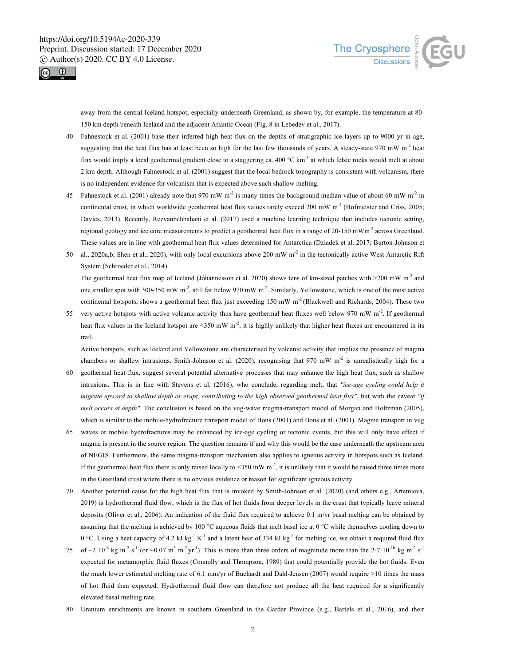



away from the central Iceland hotspot, especially underneath Greenland, as shown by, for example, the temperature at 80- 150 km depth beneath Iceland and the adjacent Atlantic Ocean (Fig. 8 in Lebedev et al., 2017).

- 40 Fahnestock et al. (2001) base their inferred high heat flux on the depths of stratigraphic ice layers up to 9000 yr in age, suggesting that the heat flux has at least been so high for the last few thousands of years. A steady-state 970 mW  $m<sup>2</sup>$  heat flux would imply a local geothermal gradient close to a staggering ca.  $400\degree C \text{ km}^{-1}$  at which felsic rocks would melt at about 2 km depth. Although Fahnestock et al. (2001) suggest that the local bedrock topography is consistent with volcanism, there is no independent evidence for volcanism that is expected above such shallow melting.
- 45 Fahnestock et al. (2001) already note that 970 mW m<sup>-2</sup> is many times the background median value of about 60 mW m<sup>-2</sup> in continental crust, in which worldwide geothermal heat flux values rarely exceed 200 mW  $m<sup>2</sup>$  (Hofmeister and Criss, 2005; Davies, 2013). Recently, Rezvanbehbahani et al. (2017) used a machine learning technique that includes tectonic setting, regional geology and ice core measurements to predict a geothermal heat flux in a range of  $20-150$  mWm<sup>-2</sup> across Greenland. These values are in line with geothermal heat flux values determined for Antarctica (Dziadek et al. 2017; Burton-Johnson et
- al., 2020a,b; Shen et al., 2020), with only local excursions above 200 mW  $m<sup>2</sup>$  in the tectonically active West Antarctic Rift System (Schroeder et al., 2014).

The geothermal heat flux map of Iceland (Jóhannesson et al. 2020) shows tens of km-sized patches with  $>200$  mW m<sup>-2</sup> and one smaller spot with 300-350 mW m<sup>-2</sup>, still far below 970 mW m<sup>-2</sup>. Similarly, Yellowstone, which is one of the most active continental hotspots, shows a geothermal heat flux just exceeding 150 mW  $m<sup>2</sup>$  (Blackwell and Richards, 2004). These two

55 very active hotspots with active volcanic activity thus have geothermal heat fluxes well below 970 mW  $\text{m}^2$ . If geothermal heat flux values in the Iceland hotspot are <350 mW  $m^2$ , it is highly unlikely that higher heat fluxes are encountered in its trail.

Active hotspots, such as Iceland and Yellowstone are characterised by volcanic activity that implies the presence of magma chambers or shallow intrusions. Smith-Johnson et al. (2020), recognising that 970 mW  $m<sup>2</sup>$  is unrealistically high for a

- 60 geothermal heat flux, suggest several potential alternative processes that may enhance the high heat flux, such as shallow intrusions. This is in line with Stevens et al. (2016), who conclude, regarding melt, that *"ice-age cycling could help it migrate upward to shallow depth or erupt, contributing to the high observed geothermal heat flux"*, but with the caveat *"if melt occurs at depth"*. The conclusion is based on the vug-wave magma-transport model of Morgan and Holtzman (2005), which is similar to the mobile-hydrofracture transport model of Bons (2001) and Bons et al. (2001). Magma transport in vug
- 65 waves or mobile hydrofractures may be enhanced by ice-age cycling or tectonic events, but this will only have effect if magma is present in the source region. The question remains if and why this would be the case underneath the upstream area of NEGIS. Furthermore, the same magma-transport mechanism also applies to igneous activity in hotspots such as Iceland. If the geothermal heat flux there is only raised locally to  $\leq 350$  mW m<sup>-2</sup>, it is unlikely that it would be raised three times more in the Greenland crust where there is no obvious evidence or reason for significant igneous activity.
- 70 Another potential cause for the high heat flux that is invoked by Smith-Johnson et al. (2020) (and others e.g., Artemieva, 2019) is hydrothermal fluid flow, which is the flux of hot fluids from deeper levels in the crust that typically leave mineral deposits (Oliver et al., 2006). An indication of the fluid flux required to achieve 0.1 m/yr basal melting can be obtained by assuming that the melting is achieved by 100  $\degree$ C aqueous fluids that melt basal ice at 0  $\degree$ C while themselves cooling down to 0 °C. Using a heat capacity of 4.2 kJ kg<sup>-1</sup> K<sup>-1</sup> and a latent heat of 334 kJ kg<sup>-1</sup> for melting ice, we obtain a required fluid flux
- 75 of  $\sim$ 2·10<sup>-6</sup> kg m<sup>-2</sup> s<sup>-1</sup> (or  $\sim$ 0.07 m<sup>3</sup> m<sup>-2</sup> yr<sup>-1</sup>). This is more than three orders of magnitude more than the 2-7·10<sup>-10</sup> kg m<sup>-2</sup> s<sup>-1</sup> expected for metamorphic fluid fluxes (Connolly and Thompson, 1989) that could potentially provide the hot fluids. Even the much lower estimated melting rate of 6.1 mm/yr of Buchardt and Dahl-Jensen (2007) would require >10 times the mass of hot fluid than expected. Hydrothermal fluid flow can therefore not produce all the heat required for a significantly elevated basal melting rate.
- 80 Uranium enrichments are known in southern Greenland in the Gardar Province (e.g., Bartels et al., 2016), and their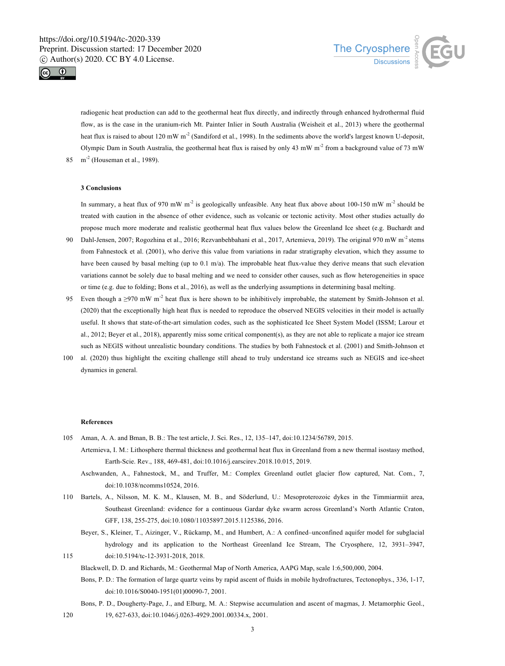



radiogenic heat production can add to the geothermal heat flux directly, and indirectly through enhanced hydrothermal fluid flow, as is the case in the uranium-rich Mt. Painter Inlier in South Australia (Weisheit et al., 2013) where the geothermal heat flux is raised to about 120 mW  $m^2$  (Sandiford et al., 1998). In the sediments above the world's largest known U-deposit, Olympic Dam in South Australia, the geothermal heat flux is raised by only 43 mW m<sup>-2</sup> from a background value of 73 mW  $m<sup>-2</sup>$  (Houseman et al., 1989).

### **3 Conclusions**

In summary, a heat flux of 970 mW m<sup>-2</sup> is geologically unfeasible. Any heat flux above about 100-150 mW m<sup>-2</sup> should be treated with caution in the absence of other evidence, such as volcanic or tectonic activity. Most other studies actually do propose much more moderate and realistic geothermal heat flux values below the Greenland Ice sheet (e.g. Buchardt and

- 90 Dahl-Jensen, 2007; Rogozhina et al., 2016; Rezvanbehbahani et al., 2017, Artemieva, 2019). The original 970 mW m<sup>-2</sup> stems from Fahnestock et al. (2001), who derive this value from variations in radar stratigraphy elevation, which they assume to have been caused by basal melting (up to 0.1 m/a). The improbable heat flux-value they derive means that such elevation variations cannot be solely due to basal melting and we need to consider other causes, such as flow heterogeneities in space or time (e.g. due to folding; Bons et al., 2016), as well as the underlying assumptions in determining basal melting.
- 95 Even though a  $\geq$ 970 mW m<sup>-2</sup> heat flux is here shown to be inhibitively improbable, the statement by Smith-Johnson et al. (2020) that the exceptionally high heat flux is needed to reproduce the observed NEGIS velocities in their model is actually useful. It shows that state-of-the-art simulation codes, such as the sophisticated Ice Sheet System Model (ISSM; Larour et al., 2012; Beyer et al., 2018), apparently miss some critical component(s), as they are not able to replicate a major ice stream such as NEGIS without unrealistic boundary conditions. The studies by both Fahnestock et al. (2001) and Smith-Johnson et
- 100 al. (2020) thus highlight the exciting challenge still ahead to truly understand ice streams such as NEGIS and ice-sheet dynamics in general.

### **References**

- 105 Aman, A. A. and Bman, B. B.: The test article, J. Sci. Res., 12, 135–147, doi:10.1234/56789, 2015.
	- Artemieva, I. M.: Lithosphere thermal thickness and geothermal heat flux in Greenland from a new thermal isostasy method, Earth-Scie. Rev., 188, 469-481, doi:10.1016/j.earscirev.2018.10.015, 2019.
		- Aschwanden, A., Fahnestock, M., and Truffer, M.: Complex Greenland outlet glacier flow captured, Nat. Com., 7, doi:10.1038/ncomms10524, 2016.
- 110 Bartels, A., Nilsson, M. K. M., Klausen, M. B., and Söderlund, U.: Mesoproterozoic dykes in the Timmiarmiit area, Southeast Greenland: evidence for a continuous Gardar dyke swarm across Greenland's North Atlantic Craton, GFF, 138, 255-275, doi:10.1080/11035897.2015.1125386, 2016.
- Beyer, S., Kleiner, T., Aizinger, V., Rückamp, M., and Humbert, A.: A confined–unconfined aquifer model for subglacial hydrology and its application to the Northeast Greenland Ice Stream, The Cryosphere, 12, 3931–3947, 115 doi:10.5194/tc-12-3931-2018, 2018.
	- Blackwell, D. D. and Richards, M.: Geothermal Map of North America, AAPG Map, scale 1:6,500,000, 2004.
	- Bons, P. D.: The formation of large quartz veins by rapid ascent of fluids in mobile hydrofractures, Tectonophys., 336, 1-17, doi:10.1016/S0040-1951(01)00090-7, 2001.
- Bons, P. D., Dougherty-Page, J., and Elburg, M. A.: Stepwise accumulation and ascent of magmas, J. Metamorphic Geol., 120 19, 627-633, doi:10.1046/j.0263-4929.2001.00334.x, 2001.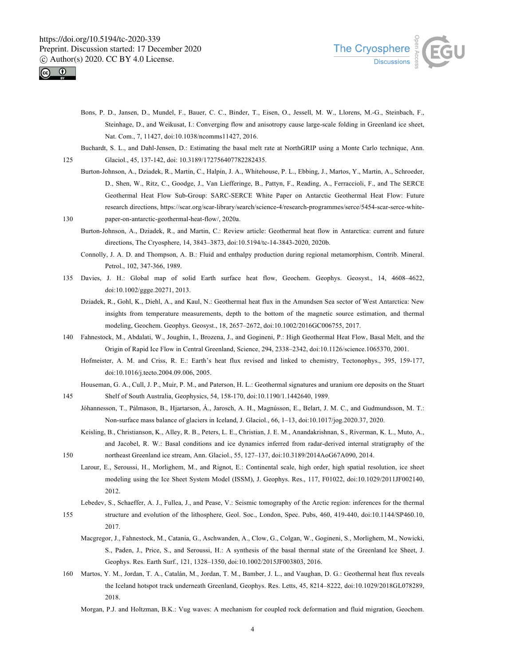



- Bons, P. D., Jansen, D., Mundel, F., Bauer, C. C., Binder, T., Eisen, O., Jessell, M. W., Llorens, M.-G., Steinbach, F., Steinhage, D., and Weikusat, I.: Converging flow and anisotropy cause large-scale folding in Greenland ice sheet, Nat. Com., 7, 11427, doi:10.1038/ncomms11427, 2016.
- Buchardt, S. L., and Dahl-Jensen, D.: Estimating the basal melt rate at NorthGRIP using a Monte Carlo technique, Ann. 125 Glaciol., 45, 137-142, doi: 10.3189/172756407782282435.
- Burton-Johnson, A., Dziadek, R., Martin, C., Halpin, J. A., Whitehouse, P. L., Ebbing, J., Martos, Y., Martin, A., Schroeder, D., Shen, W., Ritz, C., Goodge, J., Van Liefferinge, B., Pattyn, F., Reading, A., Ferraccioli, F., and The SERCE Geothermal Heat Flow Sub-Group: SARC-SERCE White Paper on Antarctic Geothermal Heat Flow: Future research directions, https://scar.org/scar-library/search/science-4/research-programmes/serce/5454-scar-serce-white-130 paper-on-antarctic-geothermal-heat-flow/, 2020a.
	- Burton-Johnson, A., Dziadek, R., and Martin, C.: Review article: Geothermal heat flow in Antarctica: current and future directions, The Cryosphere, 14, 3843–3873, doi:10.5194/tc-14-3843-2020, 2020b.
	- Connolly, J. A. D. and Thompson, A. B.: Fluid and enthalpy production during regional metamorphism, Contrib. Mineral. Petrol., 102, 347-366, 1989.
- 135 Davies, J. H.: Global map of solid Earth surface heat flow, Geochem. Geophys. Geosyst., 14, 4608–4622, doi:10.1002/ggge.20271, 2013.
	- Dziadek, R., Gohl, K., Diehl, A., and Kaul, N.: Geothermal heat flux in the Amundsen Sea sector of West Antarctica: New insights from temperature measurements, depth to the bottom of the magnetic source estimation, and thermal modeling, Geochem. Geophys. Geosyst., 18, 2657–2672, doi:10.1002/2016GC006755, 2017.
- 140 Fahnestock, M., Abdalati, W., Joughin, I., Brozena, J., and Gogineni, P.: High Geothermal Heat Flow, Basal Melt, and the Origin of Rapid Ice Flow in Central Greenland, Science, 294, 2338–2342, doi:10.1126/science.1065370, 2001.
	- Hofmeister, A. M. and Criss, R. E.: Earth's heat flux revised and linked to chemistry, Tectonophys., 395, 159-177, doi:10.1016/j.tecto.2004.09.006, 2005.
- Houseman, G. A., Cull, J. P., Muir, P. M., and Paterson, H. L.: Geothermal signatures and uranium ore deposits on the Stuart 145 Shelf of South Australia, Geophysics, 54, 158-170, doi:10.1190/1.1442640, 1989.
	- Jóhannesson, T., Pálmason, B., Hjartarson, Á., Jarosch, A. H., Magnússon, E., Belart, J. M. C., and Gudmundsson, M. T.: Non-surface mass balance of glaciers in Iceland, J. Glaciol., 66, 1–13, doi:10.1017/jog.2020.37, 2020.
- Keisling, B., Christianson, K., Alley, R. B., Peters, L. E., Christian, J. E. M., Anandakrishnan, S., Riverman, K. L., Muto, A., and Jacobel, R. W.: Basal conditions and ice dynamics inferred from radar-derived internal stratigraphy of the 150 northeast Greenland ice stream, Ann. Glaciol., 55, 127–137, doi:10.3189/2014AoG67A090, 2014.
	- Larour, E., Seroussi, H., Morlighem, M., and Rignot, E.: Continental scale, high order, high spatial resolution, ice sheet modeling using the Ice Sheet System Model (ISSM), J. Geophys. Res., 117, F01022, doi:10.1029/2011JF002140, 2012.
- Lebedev, S., Schaeffer, A. J., Fullea, J., and Pease, V.: Seismic tomography of the Arctic region: inferences for the thermal 155 structure and evolution of the lithosphere, Geol. Soc., London, Spec. Pubs, 460, 419-440, doi:10.1144/SP460.10, 2017.
	- Macgregor, J., Fahnestock, M., Catania, G., Aschwanden, A., Clow, G., Colgan, W., Gogineni, S., Morlighem, M., Nowicki, S., Paden, J., Price, S., and Seroussi, H.: A synthesis of the basal thermal state of the Greenland Ice Sheet, J. Geophys. Res. Earth Surf., 121, 1328–1350, doi:10.1002/2015JF003803, 2016.
- 160 Martos, Y. M., Jordan, T. A., Catalán, M., Jordan, T. M., Bamber, J. L., and Vaughan, D. G.: Geothermal heat flux reveals the Iceland hotspot track underneath Greenland, Geophys. Res. Letts, 45, 8214–8222, doi:10.1029/2018GL078289, 2018.
	- Morgan, P.J. and Holtzman, B.K.: Vug waves: A mechanism for coupled rock deformation and fluid migration, Geochem.